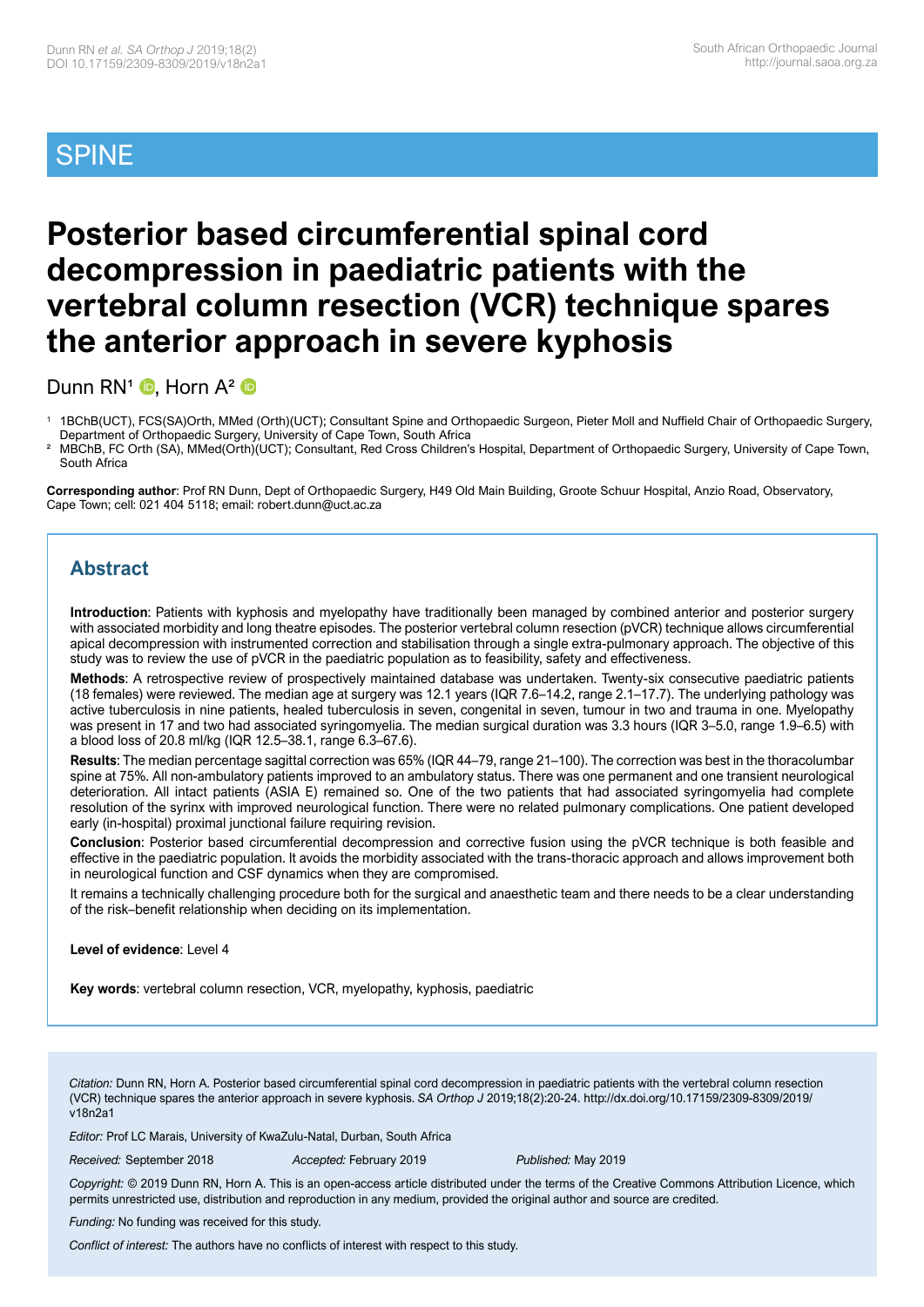# SPINE

# **Posterior based circumferential spinal cord decompression in paediatric patients with the vertebral column resection (VCR) technique spares the anterior approach in severe kyphosis**

DunnRN<sup>1</sup> **D**, Horn  $A^2$  **D** 

<sup>1</sup> 1BChB(UCT), FCS(SA)Orth, MMed (Orth)(UCT); Consultant Spine and Orthopaedic Surgeon, Pieter Moll and Nuffield Chair of Orthopaedic Surgery, Department of Orthopaedic Surgery, University of Cape Town, South Africa

² MBChB, FC Orth (SA), MMed(Orth)(UCT); Consultant, Red Cross Children's Hospital, Department of Orthopaedic Surgery, University of Cape Town, South Africa

**Corresponding author**: Prof RN Dunn, Dept of Orthopaedic Surgery, H49 Old Main Building, Groote Schuur Hospital, Anzio Road, Observatory, Cape Town; cell: 021 404 5118; email: robert.dunn@uct.ac.za

# **Abstract**

**Introduction**: Patients with kyphosis and myelopathy have traditionally been managed by combined anterior and posterior surgery with associated morbidity and long theatre episodes. The posterior vertebral column resection (pVCR) technique allows circumferential apical decompression with instrumented correction and stabilisation through a single extra-pulmonary approach. The objective of this study was to review the use of pVCR in the paediatric population as to feasibility, safety and effectiveness.

**Methods**: A retrospective review of prospectively maintained database was undertaken. Twenty-six consecutive paediatric patients (18 females) were reviewed. The median age at surgery was 12.1 years (IQR 7.6–14.2, range 2.1–17.7). The underlying pathology was active tuberculosis in nine patients, healed tuberculosis in seven, congenital in seven, tumour in two and trauma in one. Myelopathy was present in 17 and two had associated syringomyelia. The median surgical duration was 3.3 hours (IQR 3–5.0, range 1.9–6.5) with a blood loss of 20.8 ml/kg (IQR 12.5–38.1, range 6.3–67.6).

**Results**: The median percentage sagittal correction was 65% (IQR 44–79, range 21–100). The correction was best in the thoracolumbar spine at 75%. All non-ambulatory patients improved to an ambulatory status. There was one permanent and one transient neurological deterioration. All intact patients (ASIA E) remained so. One of the two patients that had associated syringomyelia had complete resolution of the syrinx with improved neurological function. There were no related pulmonary complications. One patient developed early (in-hospital) proximal junctional failure requiring revision.

**Conclusion**: Posterior based circumferential decompression and corrective fusion using the pVCR technique is both feasible and effective in the paediatric population. It avoids the morbidity associated with the trans-thoracic approach and allows improvement both in neurological function and CSF dynamics when they are compromised.

It remains a technically challenging procedure both for the surgical and anaesthetic team and there needs to be a clear understanding of the risk–benefit relationship when deciding on its implementation.

**Level of evidence**: Level 4

**Key words**: vertebral column resection, VCR, myelopathy, kyphosis, paediatric

*Citation:* Dunn RN, Horn A. Posterior based circumferential spinal cord decompression in paediatric patients with the vertebral column resection (VCR) technique spares the anterior approach in severe kyphosis. *SA Orthop J* 2019;18(2):20-24. http://dx.doi.org/10.17159/2309-8309/2019/ v18n2a1

*Editor:* Prof LC Marais, University of KwaZulu-Natal, Durban, South Africa

*Received:* September 2018 *Accepted:* February 2019 *Published:* May 2019

*Copyright:* © 2019 Dunn RN, Horn A. This is an open-access article distributed under the terms of the Creative Commons Attribution Licence, which permits unrestricted use, distribution and reproduction in any medium, provided the original author and source are credited.

*Funding:* No funding was received for this study.

*Conflict of interest:* The authors have no conflicts of interest with respect to this study.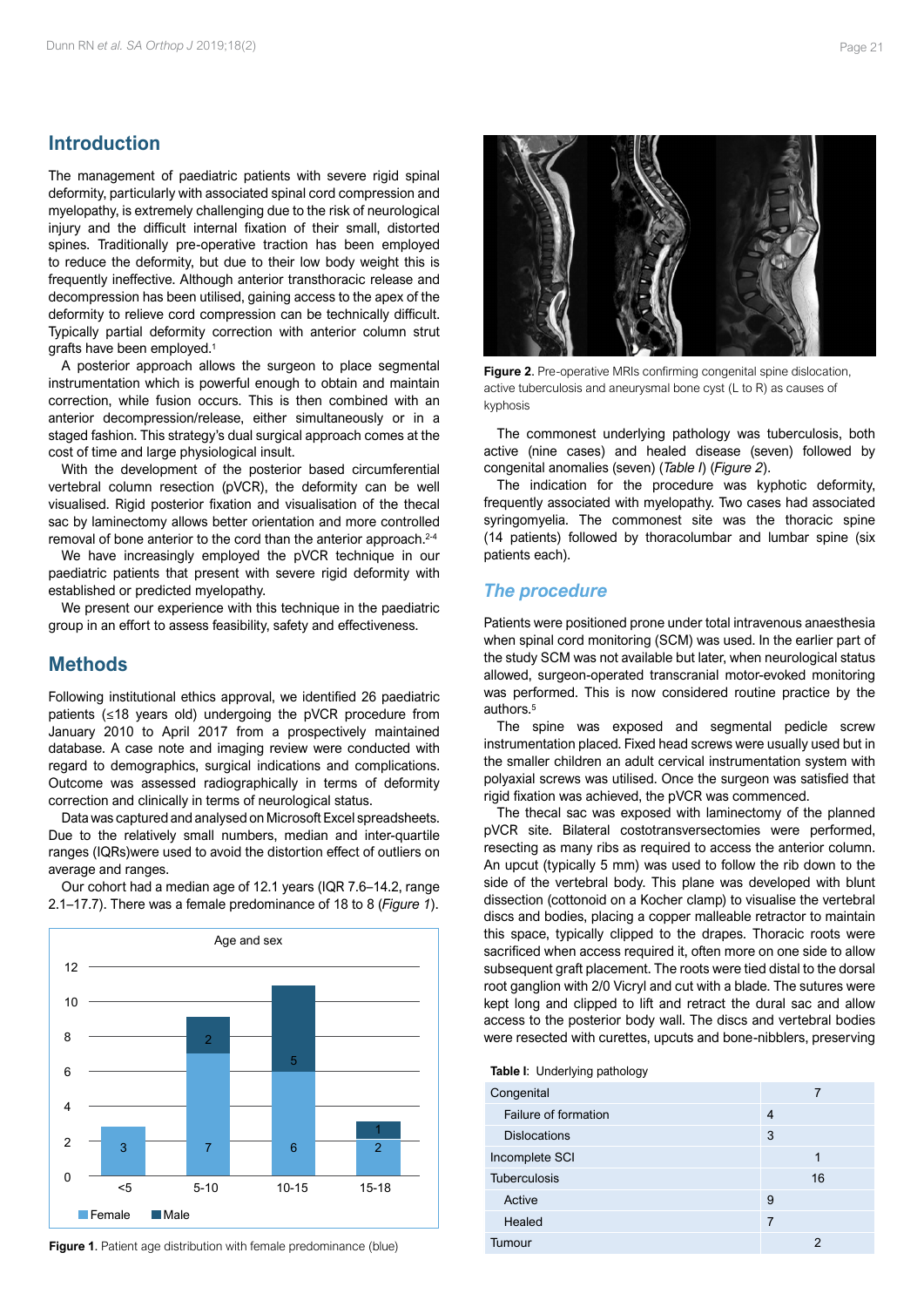# **Introduction**

The management of paediatric patients with severe rigid spinal deformity, particularly with associated spinal cord compression and myelopathy, is extremely challenging due to the risk of neurological injury and the difficult internal fixation of their small, distorted spines. Traditionally pre-operative traction has been employed to reduce the deformity, but due to their low body weight this is frequently ineffective. Although anterior transthoracic release and decompression has been utilised, gaining access to the apex of the deformity to relieve cord compression can be technically difficult. Typically partial deformity correction with anterior column strut grafts have been employed.1

A posterior approach allows the surgeon to place segmental instrumentation which is powerful enough to obtain and maintain correction, while fusion occurs. This is then combined with an anterior decompression/release, either simultaneously or in a staged fashion. This strategy's dual surgical approach comes at the cost of time and large physiological insult.

With the development of the posterior based circumferential vertebral column resection (pVCR), the deformity can be well visualised. Rigid posterior fixation and visualisation of the thecal sac by laminectomy allows better orientation and more controlled removal of bone anterior to the cord than the anterior approach.<sup>2-4</sup>

We have increasingly employed the pVCR technique in our paediatric patients that present with severe rigid deformity with established or predicted myelopathy.

We present our experience with this technique in the paediatric group in an effort to assess feasibility, safety and effectiveness.

## **Methods**

Following institutional ethics approval, we identified 26 paediatric patients (≤18 years old) undergoing the pVCR procedure from January 2010 to April 2017 from a prospectively maintained database. A case note and imaging review were conducted with regard to demographics, surgical indications and complications. Outcome was assessed radiographically in terms of deformity correction and clinically in terms of neurological status.

Data was captured and analysed on Microsoft Excel spreadsheets. Due to the relatively small numbers, median and inter-quartile ranges (IQRs)were used to avoid the distortion effect of outliers on average and ranges.

Our cohort had a median age of 12.1 years (IQR 7.6–14.2, range 2.1–17.7). There was a female predominance of 18 to 8 (*Figure 1*).



**Figure 1.** Patient age distribution with female predominance (blue)



**Figure 2**. Pre-operative MRIs confirming congenital spine dislocation, active tuberculosis and aneurysmal bone cyst (L to R) as causes of kyphosis

The commonest underlying pathology was tuberculosis, both active (nine cases) and healed disease (seven) followed by congenital anomalies (seven) (*Table I*) (*Figure 2*).

The indication for the procedure was kyphotic deformity, frequently associated with myelopathy. Two cases had associated syringomyelia. The commonest site was the thoracic spine (14 patients) followed by thoracolumbar and lumbar spine (six patients each).

## *The procedure*

Patients were positioned prone under total intravenous anaesthesia when spinal cord monitoring (SCM) was used. In the earlier part of the study SCM was not available but later, when neurological status allowed, surgeon-operated transcranial motor-evoked monitoring was performed. This is now considered routine practice by the authors.5

The spine was exposed and segmental pedicle screw instrumentation placed. Fixed head screws were usually used but in the smaller children an adult cervical instrumentation system with polyaxial screws was utilised. Once the surgeon was satisfied that rigid fixation was achieved, the pVCR was commenced.

The thecal sac was exposed with laminectomy of the planned pVCR site. Bilateral costotransversectomies were performed, resecting as many ribs as required to access the anterior column. An upcut (typically 5 mm) was used to follow the rib down to the side of the vertebral body. This plane was developed with blunt dissection (cottonoid on a Kocher clamp) to visualise the vertebral discs and bodies, placing a copper malleable retractor to maintain this space, typically clipped to the drapes. Thoracic roots were sacrificed when access required it, often more on one side to allow subsequent graft placement. The roots were tied distal to the dorsal root ganglion with 2/0 Vicryl and cut with a blade. The sutures were kept long and clipped to lift and retract the dural sac and allow access to the posterior body wall. The discs and vertebral bodies were resected with curettes, upcuts and bone-nibblers, preserving

**Table I**: Underlying pathology

| 4  |
|----|
| 3  |
|    |
| 16 |
| 9  |
| 7  |
| 2  |
|    |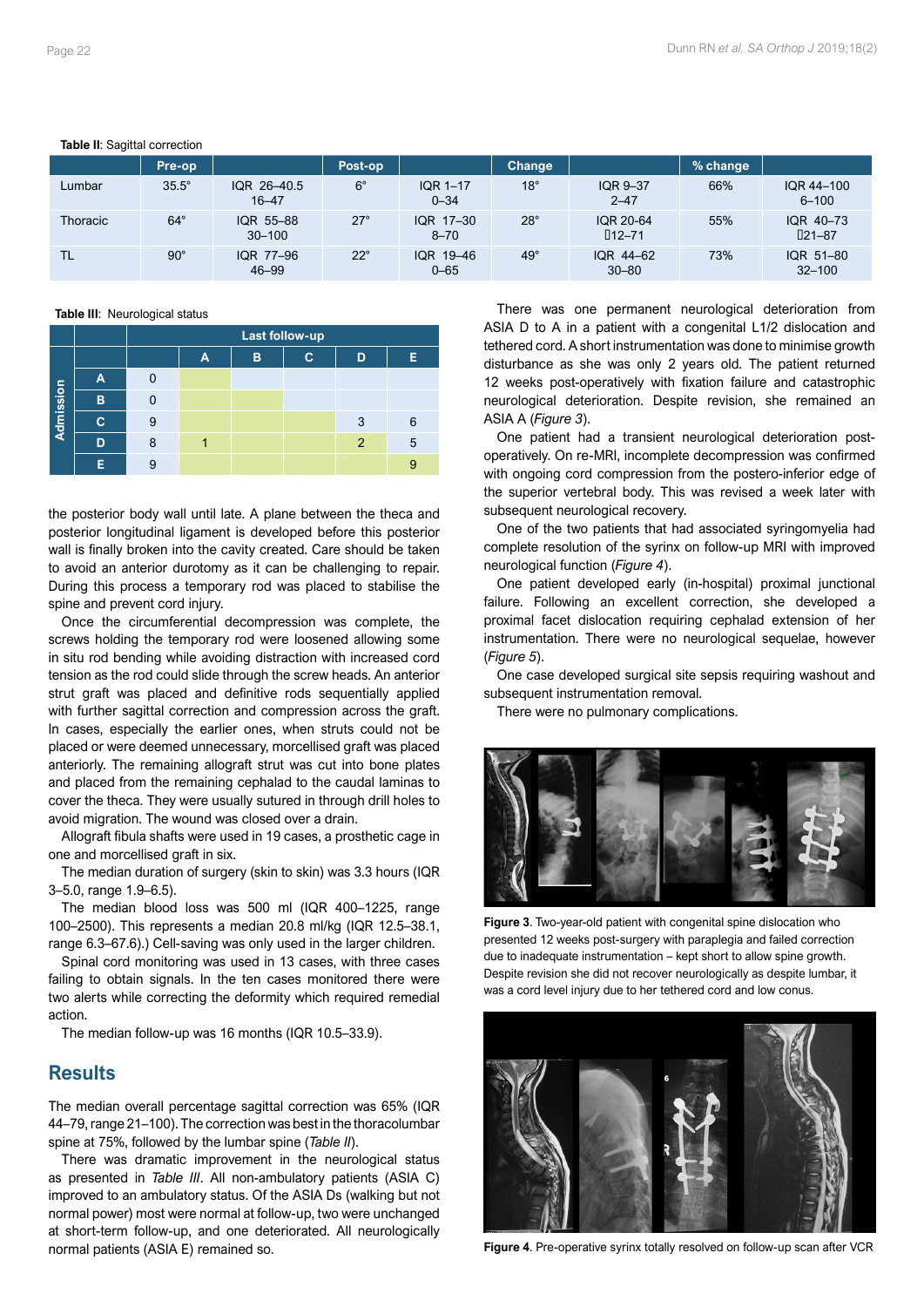## **Table II**: Sagittal correction

| rapio III. cagniai composicii |              |                          |              |                             |               |                             |          |                              |  |  |
|-------------------------------|--------------|--------------------------|--------------|-----------------------------|---------------|-----------------------------|----------|------------------------------|--|--|
|                               | Pre-op       |                          | Post-op      |                             | <b>Change</b> |                             | % change |                              |  |  |
| Lumbar                        | $35.5^\circ$ | IQR 26-40.5<br>$16 - 47$ | $6^{\circ}$  | <b>IQR 1-17</b><br>$0 - 34$ | $18^\circ$    | <b>IQR 9-37</b><br>$2 - 47$ | 66%      | IQR 44-100<br>$6 - 100$      |  |  |
| <b>Thoracic</b>               | $64^{\circ}$ | IQR 55-88<br>$30 - 100$  | $27^\circ$   | IQR 17-30<br>$8 - 70$       | $28^\circ$    | IQR 20-64<br>$\Box 12 - 71$ | 55%      | IQR 40-73<br>$\square$ 21-87 |  |  |
| <b>TL</b>                     | $90^\circ$   | IQR 77-96<br>46-99       | $22^{\circ}$ | IQR 19-46<br>$0 - 65$       | $49^\circ$    | IQR 44-62<br>$30 - 80$      | 73%      | IQR 51-80<br>$32 - 100$      |  |  |

#### **Table III**: Neurological status

|           |   | Last follow-up |   |   |   |                |   |  |  |  |  |
|-----------|---|----------------|---|---|---|----------------|---|--|--|--|--|
|           |   |                | А | в | C | D              | Е |  |  |  |  |
| Admission | А |                |   |   |   |                |   |  |  |  |  |
|           | B |                |   |   |   |                |   |  |  |  |  |
|           | c | 9              |   |   |   | 3              | 6 |  |  |  |  |
|           | D | 8              |   |   |   | $\overline{2}$ | 5 |  |  |  |  |
|           | Е |                |   |   |   |                | 9 |  |  |  |  |

the posterior body wall until late. A plane between the theca and posterior longitudinal ligament is developed before this posterior wall is finally broken into the cavity created. Care should be taken to avoid an anterior durotomy as it can be challenging to repair. During this process a temporary rod was placed to stabilise the spine and prevent cord injury.

Once the circumferential decompression was complete, the screws holding the temporary rod were loosened allowing some in situ rod bending while avoiding distraction with increased cord tension as the rod could slide through the screw heads. An anterior strut graft was placed and definitive rods sequentially applied with further sagittal correction and compression across the graft. In cases, especially the earlier ones, when struts could not be placed or were deemed unnecessary, morcellised graft was placed anteriorly. The remaining allograft strut was cut into bone plates and placed from the remaining cephalad to the caudal laminas to cover the theca. They were usually sutured in through drill holes to avoid migration. The wound was closed over a drain.

Allograft fibula shafts were used in 19 cases, a prosthetic cage in one and morcellised graft in six.

The median duration of surgery (skin to skin) was 3.3 hours (IQR 3–5.0, range 1.9–6.5).

The median blood loss was 500 ml (IQR 400–1225, range 100–2500). This represents a median 20.8 ml/kg (IQR 12.5–38.1, range 6.3–67.6).) Cell-saving was only used in the larger children.

Spinal cord monitoring was used in 13 cases, with three cases failing to obtain signals. In the ten cases monitored there were two alerts while correcting the deformity which required remedial action.

The median follow-up was 16 months (IQR 10.5–33.9).

## **Results**

The median overall percentage sagittal correction was 65% (IQR 44–79, range 21–100). The correction was best in the thoracolumbar spine at 75%, followed by the lumbar spine (*Table II*).

There was dramatic improvement in the neurological status as presented in *Table III*. All non-ambulatory patients (ASIA C) improved to an ambulatory status. Of the ASIA Ds (walking but not normal power) most were normal at follow-up, two were unchanged at short-term follow-up, and one deteriorated. All neurologically normal patients (ASIA E) remained so.

There was one permanent neurological deterioration from ASIA D to A in a patient with a congenital L1/2 dislocation and tethered cord. A short instrumentation was done to minimise growth disturbance as she was only 2 years old. The patient returned 12 weeks post-operatively with fixation failure and catastrophic neurological deterioration. Despite revision, she remained an ASIA A (*Figure 3*).

One patient had a transient neurological deterioration postoperatively. On re-MRI, incomplete decompression was confirmed with ongoing cord compression from the postero-inferior edge of the superior vertebral body. This was revised a week later with subsequent neurological recovery.

One of the two patients that had associated syringomyelia had complete resolution of the syrinx on follow-up MRI with improved neurological function (*Figure 4*).

One patient developed early (in-hospital) proximal junctional failure. Following an excellent correction, she developed a proximal facet dislocation requiring cephalad extension of her instrumentation. There were no neurological sequelae, however (*Figure 5*).

One case developed surgical site sepsis requiring washout and subsequent instrumentation removal.

There were no pulmonary complications.



**Figure 3**. Two-year-old patient with congenital spine dislocation who presented 12 weeks post-surgery with paraplegia and failed correction due to inadequate instrumentation – kept short to allow spine growth. Despite revision she did not recover neurologically as despite lumbar, it was a cord level injury due to her tethered cord and low conus.



**Figure 4**. Pre-operative syrinx totally resolved on follow-up scan after VCR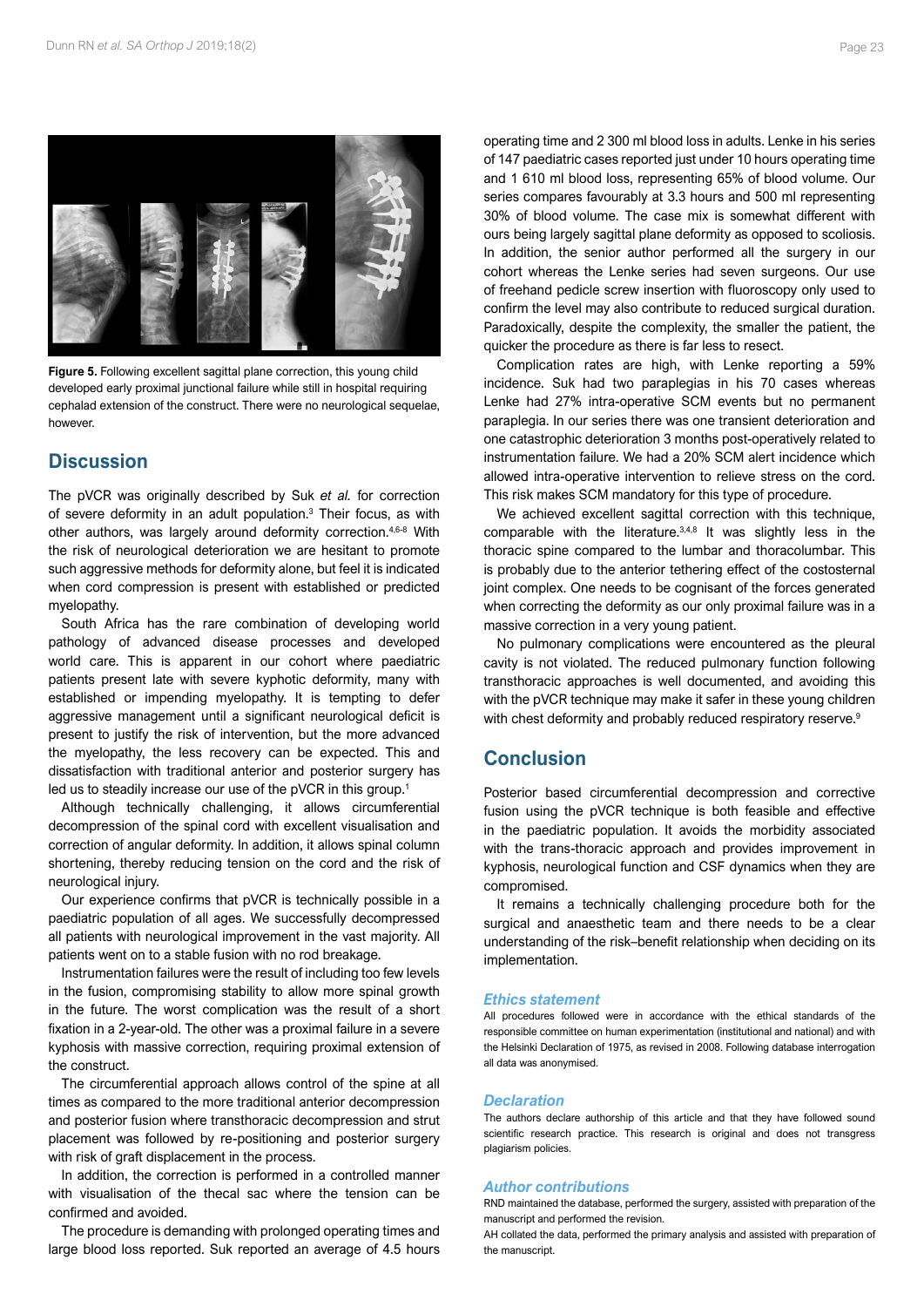

**Figure 5.** Following excellent sagittal plane correction, this young child developed early proximal junctional failure while still in hospital requiring cephalad extension of the construct. There were no neurological sequelae, however.

# **Discussion**

The pVCR was originally described by Suk *et al.* for correction of severe deformity in an adult population.3 Their focus, as with other authors, was largely around deformity correction.4,6-8 With the risk of neurological deterioration we are hesitant to promote such aggressive methods for deformity alone, but feel it is indicated when cord compression is present with established or predicted myelopathy.

South Africa has the rare combination of developing world pathology of advanced disease processes and developed world care. This is apparent in our cohort where paediatric patients present late with severe kyphotic deformity, many with established or impending myelopathy. It is tempting to defer aggressive management until a significant neurological deficit is present to justify the risk of intervention, but the more advanced the myelopathy, the less recovery can be expected. This and dissatisfaction with traditional anterior and posterior surgery has led us to steadily increase our use of the pVCR in this group.<sup>1</sup>

Although technically challenging, it allows circumferential decompression of the spinal cord with excellent visualisation and correction of angular deformity. In addition, it allows spinal column shortening, thereby reducing tension on the cord and the risk of neurological injury.

Our experience confirms that pVCR is technically possible in a paediatric population of all ages. We successfully decompressed all patients with neurological improvement in the vast majority. All patients went on to a stable fusion with no rod breakage.

Instrumentation failures were the result of including too few levels in the fusion, compromising stability to allow more spinal growth in the future. The worst complication was the result of a short fixation in a 2-year-old. The other was a proximal failure in a severe kyphosis with massive correction, requiring proximal extension of the construct.

The circumferential approach allows control of the spine at all times as compared to the more traditional anterior decompression and posterior fusion where transthoracic decompression and strut placement was followed by re-positioning and posterior surgery with risk of graft displacement in the process.

In addition, the correction is performed in a controlled manner with visualisation of the thecal sac where the tension can be confirmed and avoided.

The procedure is demanding with prolonged operating times and large blood loss reported. Suk reported an average of 4.5 hours operating time and 2 300 ml blood loss in adults. Lenke in his series of 147 paediatric cases reported just under 10 hours operating time and 1 610 ml blood loss, representing 65% of blood volume. Our series compares favourably at 3.3 hours and 500 ml representing 30% of blood volume. The case mix is somewhat different with ours being largely sagittal plane deformity as opposed to scoliosis. In addition, the senior author performed all the surgery in our cohort whereas the Lenke series had seven surgeons. Our use of freehand pedicle screw insertion with fluoroscopy only used to confirm the level may also contribute to reduced surgical duration. Paradoxically, despite the complexity, the smaller the patient, the quicker the procedure as there is far less to resect.

Complication rates are high, with Lenke reporting a 59% incidence. Suk had two paraplegias in his 70 cases whereas Lenke had 27% intra-operative SCM events but no permanent paraplegia. In our series there was one transient deterioration and one catastrophic deterioration 3 months post-operatively related to instrumentation failure. We had a 20% SCM alert incidence which allowed intra-operative intervention to relieve stress on the cord. This risk makes SCM mandatory for this type of procedure.

We achieved excellent sagittal correction with this technique, comparable with the literature.3,4,8 It was slightly less in the thoracic spine compared to the lumbar and thoracolumbar. This is probably due to the anterior tethering effect of the costosternal joint complex. One needs to be cognisant of the forces generated when correcting the deformity as our only proximal failure was in a massive correction in a very young patient.

No pulmonary complications were encountered as the pleural cavity is not violated. The reduced pulmonary function following transthoracic approaches is well documented, and avoiding this with the pVCR technique may make it safer in these young children with chest deformity and probably reduced respiratory reserve.<sup>9</sup>

# **Conclusion**

Posterior based circumferential decompression and corrective fusion using the pVCR technique is both feasible and effective in the paediatric population. It avoids the morbidity associated with the trans-thoracic approach and provides improvement in kyphosis, neurological function and CSF dynamics when they are compromised.

It remains a technically challenging procedure both for the surgical and anaesthetic team and there needs to be a clear understanding of the risk–benefit relationship when deciding on its implementation.

#### *Ethics statement*

All procedures followed were in accordance with the ethical standards of the responsible committee on human experimentation (institutional and national) and with the Helsinki Declaration of 1975, as revised in 2008. Following database interrogation all data was anonymised.

#### *Declaration*

The authors declare authorship of this article and that they have followed sound scientific research practice. This research is original and does not transgress plagiarism policies.

#### *Author contributions*

RND maintained the database, performed the surgery, assisted with preparation of the manuscript and performed the revision.

AH collated the data, performed the primary analysis and assisted with preparation of the manuscript.